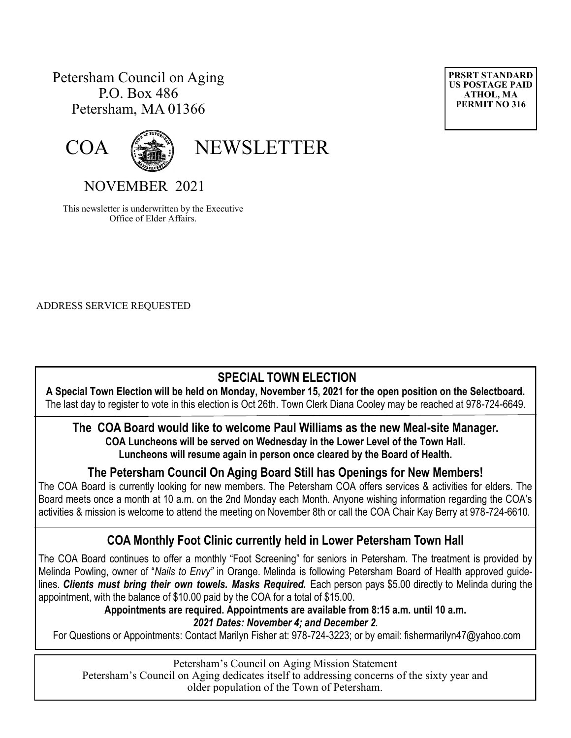# Petersham Council on Aging P.O. Box 486 Petersham, MA 01366





COA (

# NOVEMBER 2021

This newsletter is underwritten by the Executive Office of Elder Affairs.

ADDRESS SERVICE REQUESTED

### **SPECIAL TOWN ELECTION**

**A Special Town Election will be held on Monday, November 15, 2021 for the open position on the Selectboard.** The last day to register to vote in this election is Oct 26th. Town Clerk Diana Cooley may be reached at 978-724-6649.

#### **The COA Board would like to welcome Paul Williams as the new Meal-site Manager. COA Luncheons will be served on Wednesday in the Lower Level of the Town Hall.**

**Luncheons will resume again in person once cleared by the Board of Health.**

## **The Petersham Council On Aging Board Still has Openings for New Members!**

The COA Board is currently looking for new members. The Petersham COA offers services & activities for elders. The Board meets once a month at 10 a.m. on the 2nd Monday each Month. Anyone wishing information regarding the COA's activities & mission is welcome to attend the meeting on November 8th or call the COA Chair Kay Berry at 978-724-6610.

# **COA Monthly Foot Clinic currently held in Lower Petersham Town Hall**

The COA Board continues to offer a monthly "Foot Screening" for seniors in Petersham. The treatment is provided by Melinda Powling, owner of "*Nails to Envy"* in Orange. Melinda is following Petersham Board of Health approved guidelines. Clients must bring their own towels. Masks Required. Each person pays \$5.00 directly to Melinda during the appointment, with the balance of \$10.00 paid by the COA for a total of \$15.00.

**Appointments are required. Appointments are available from 8:15 a.m. until 10 a.m.**  *2021 Dates: November 4; and December 2.*

For Questions or Appointments: Contact Marilyn Fisher at: 978-724-3223; or by email: fishermarilyn47@yahoo.com

Petersham's Council on Aging Mission Statement Petersham's Council on Aging dedicates itself to addressing concerns of the sixty year and older population of the Town of Petersham.

**PRSRT STANDARD US POSTAGE PAID ATHOL, MA PERMIT NO 316**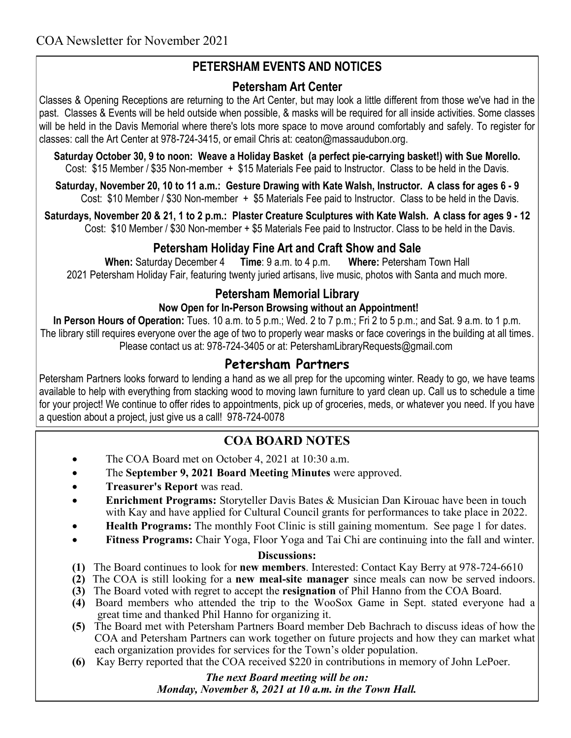# **PETERSHAM EVENTS AND NOTICES**

### **Petersham Art Center**

Classes & Opening Receptions are returning to the Art Center, but may look a little different from those we've had in the past. Classes & Events will be held outside when possible, & masks will be required for all inside activities. Some classes will be held in the Davis Memorial where there's lots more space to move around comfortably and safely. To register for classes: call the Art Center at 978-724-3415, or email Chris at: [ceaton@massaudubon.org.](mailto:ceaton@massaudubon.org)

**Saturday October 30, 9 to noon: Weave a Holiday Basket (a perfect pie-carrying basket!) with Sue Morello.** Cost: \$15 Member / \$35 Non-member + \$15 Materials Fee paid to Instructor. Class to be held in the Davis.

**Saturday, November 20, 10 to 11 a.m.: Gesture Drawing with Kate Walsh, Instructor. A class for ages 6 - 9** Cost: \$10 Member / \$30 Non-member + \$5 Materials Fee paid to Instructor. Class to be held in the Davis.

**Saturdays, November 20 & 21, 1 to 2 p.m.: Plaster Creature Sculptures with Kate Walsh. A class for ages 9 - 12** Cost: \$10 Member / \$30 Non-member + \$5 Materials Fee paid to Instructor. Class to be held in the Davis.

### **Petersham Holiday Fine Art and Craft Show and Sale**

**When:** Saturday December 4 **Time**: 9 a.m. to 4 p.m. **Where:** Petersham Town Hall 2021 Petersham Holiday Fair, featuring twenty juried artisans, live music, photos with Santa and much more.

### **Petersham Memorial Library**

#### **Now Open for In-Person Browsing without an Appointment!**

**In Person Hours of Operation:** Tues. 10 a.m. to 5 p.m.; Wed. 2 to 7 p.m.; Fri 2 to 5 p.m.; and Sat. 9 a.m. to 1 p.m. The library still requires everyone over the age of two to properly wear masks or face coverings in the building at all times. Please contact us at: 978-724-3405 or at: PetershamLibraryRequests@gmail.com

## **Petersham Partners**

Petersham Partners looks forward to lending a hand as we all prep for the upcoming winter. Ready to go, we have teams available to help with everything from stacking wood to moving lawn furniture to yard clean up. Call us to schedule a time for your project! We continue to offer rides to appointments, pick up of groceries, meds, or whatever you need. If you have a question about a project, just give us a call! 978-724-0078

### **COA BOARD NOTES**

- The COA Board met on October 4, 2021 at 10:30 a.m.
- The **September 9, 2021 Board Meeting Minutes** were approved.
- **Treasurer's Report** was read.
- **Enrichment Programs:** Storyteller Davis Bates & Musician Dan Kirouac have been in touch with Kay and have applied for Cultural Council grants for performances to take place in 2022.
- **Health Programs:** The monthly Foot Clinic is still gaining momentum. See page 1 for dates.
- **Fitness Programs:** Chair Yoga, Floor Yoga and Tai Chi are continuing into the fall and winter.

#### **Discussions:**

- **(1)** The Board continues to look for **new members**. Interested: Contact Kay Berry at 978-724-6610
- **(2)** The COA is still looking for a **new meal-site manager** since meals can now be served indoors.
- **(3)** The Board voted with regret to accept the **resignation** of Phil Hanno from the COA Board.
- **(4)** Board members who attended the trip to the WooSox Game in Sept. stated everyone had a great time and thanked Phil Hanno for organizing it.
- **(5)** The Board met with Petersham Partners Board member Deb Bachrach to discuss ideas of how the COA and Petersham Partners can work together on future projects and how they can market what each organization provides for services for the Town's older population.
- **(6)** Kay Berry reported that the COA received \$220 in contributions in memory of John LePoer.

#### *The next Board meeting will be on: Monday, November 8, 2021 at 10 a.m. in the Town Hall.*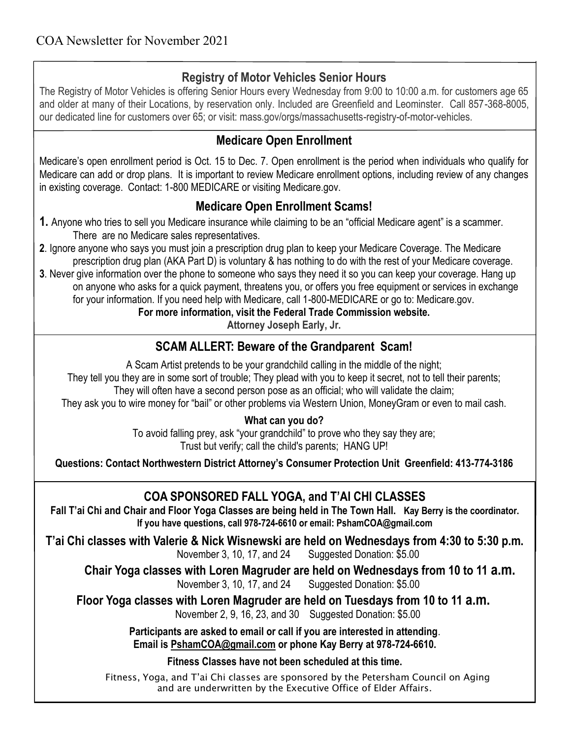# **Registry of Motor Vehicles Senior Hours**

The Registry of Motor Vehicles is offering Senior Hours every Wednesday from 9:00 to 10:00 a.m. for customers age 65 and older at many of their Locations, by reservation only. Included are Greenfield and Leominster. Call 857-368-8005, our dedicated line for customers over 65; or visit: mass.gov/orgs/massachusetts-registry-of-motor-vehicles.

## **Medicare Open Enrollment**

Medicare's open enrollment period is Oct. 15 to Dec. 7. Open enrollment is the period when individuals who qualify for Medicare can add or drop plans. It is important to review Medicare enrollment options, including review of any changes in existing coverage. Contact: 1-800 MEDICARE or visiting Medicare.gov.

# **Medicare Open Enrollment Scams!**

- **1.** Anyone who tries to sell you Medicare insurance while claiming to be an "official Medicare agent" is a scammer. There are no Medicare sales representatives.
- **2**. Ignore anyone who says you must join a prescription drug plan to keep your Medicare Coverage. The Medicare prescription drug plan (AKA Part D) is voluntary & has nothing to do with the rest of your Medicare coverage.
- **3**. Never give information over the phone to someone who says they need it so you can keep your coverage. Hang up on anyone who asks for a quick payment, threatens you, or offers you free equipment or services in exchange for your information. If you need help with Medicare, call 1-800-MEDICARE or go to: [Medicare.gov.](https://www.medicare.gov/)

**For more information, visit the Federal Trade Commission website.**

**Attorney Joseph Early, Jr.**

# **SCAM ALLERT: Beware of the Grandparent Scam!**

A Scam Artist pretends to be your grandchild calling in the middle of the night; They tell you they are in some sort of trouble; They plead with you to keep it secret, not to tell their parents; They will often have a second person pose as an official; who will validate the claim; They ask you to wire money for "bail" or other problems via Western Union, MoneyGram or even to mail cash.

### **What can you do?**

To avoid falling prey, ask "your grandchild" to prove who they say they are; Trust but verify; call the child's parents; HANG UP!

**Questions: Contact Northwestern District Attorney's Consumer Protection Unit Greenfield: 413-774-3186**

# **COA SPONSORED FALL YOGA, and T'AI CHI CLASSES**

**Fall T'ai Chi and Chair and Floor Yoga Classes are being held in The Town Hall. Kay Berry is the coordinator. If you have questions, call 978-724-6610 or email: PshamCOA@gmail.com**

**T'ai Chi classes with Valerie & Nick Wisnewski are held on Wednesdays from 4:30 to 5:30 p.m.** 

November 3, 10, 17, and 24 Suggested Donation: \$5.00

**Chair Yoga classes with Loren Magruder are held on Wednesdays from 10 to 11 a.m.**

November 3, 10, 17, and 24 Suggested Donation: \$5.00

**Floor Yoga classes with Loren Magruder are held on Tuesdays from 10 to 11 a.m.**

November 2, 9, 16, 23, and 30 Suggested Donation: \$5.00

**Participants are asked to email or call if you are interested in attending**. **Email is [PshamCOA@gmail.com](mailto:PshamCOA@gmail.com) or phone Kay Berry at 978-724-6610.** 

**Fitness Classes have not been scheduled at this time.** 

Fitness, Yoga, and T'ai Chi classes are sponsored by the Petersham Council on Aging and are underwritten by the Executive Office of Elder Affairs.